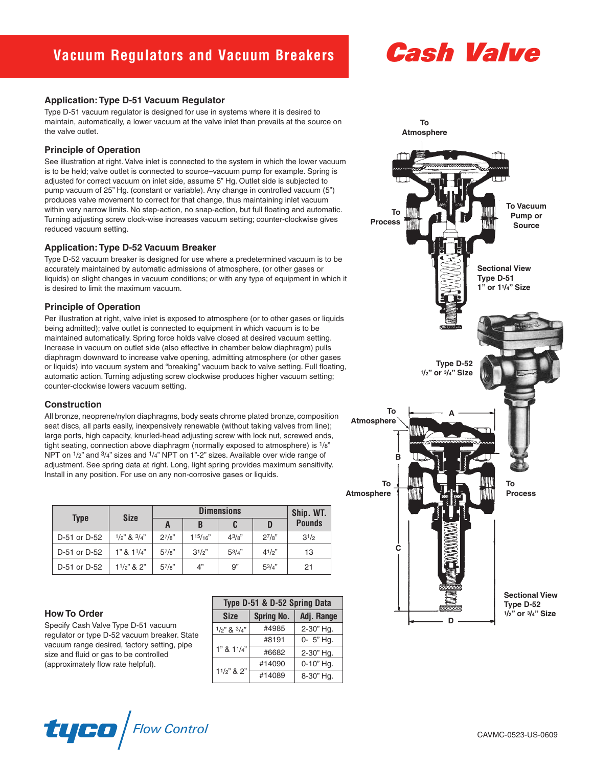# **Cash Valve**

#### **Application:Type D-51 Vacuum Regulator**

Type D-51 vacuum regulator is designed for use in systems where it is desired to maintain, automatically, a lower vacuum at the valve inlet than prevails at the source on the valve outlet.

# **Principle of Operation**

See illustration at right. Valve inlet is connected to the system in which the lower vacuum is to be held; valve outlet is connected to source–vacuum pump for example. Spring is adjusted for correct vacuum on inlet side, assume 5" Hg. Outlet side is subjected to pump vacuum of 25" Hg. (constant or variable). Any change in controlled vacuum (5") produces valve movement to correct for that change, thus maintaining inlet vacuum within very narrow limits. No step-action, no snap-action, but full floating and automatic. Turning adjusting screw clock-wise increases vacuum setting; counter-clockwise gives reduced vacuum setting.

#### **Application:Type D-52 Vacuum Breaker**

Type D-52 vacuum breaker is designed for use where a predetermined vacuum is to be accurately maintained by automatic admissions of atmosphere, (or other gases or liquids) on slight changes in vacuum conditions; or with any type of equipment in which it is desired to limit the maximum vacuum.

#### **Principle of Operation**

Per illustration at right, valve inlet is exposed to atmosphere (or to other gases or liquids being admitted); valve outlet is connected to equipment in which vacuum is to be maintained automatically. Spring force holds valve closed at desired vacuum setting. Increase in vacuum on outlet side (also effective in chamber below diaphragm) pulls diaphragm downward to increase valve opening, admitting atmosphere (or other gases or liquids) into vacuum system and "breaking" vacuum back to valve setting. Full floating, automatic action. Turning adjusting screw clockwise produces higher vacuum setting; counter-clockwise lowers vacuum setting.

# **Construction**

All bronze, neoprene/nylon diaphragms, body seats chrome plated bronze, composition seat discs, all parts easily, inexpensively renewable (without taking valves from line); large ports, high capacity, knurled-head adjusting screw with lock nut, screwed ends, tight seating, connection above diaphragm (normally exposed to atmosphere) is 1/8" NPT on  $1/2$ " and  $3/4$ " sizes and  $1/4$ " NPT on 1"-2" sizes. Available over wide range of adjustment. See spring data at right. Long, light spring provides maximum sensitivity. Install in any position. For use on any non-corrosive gases or liquids.

| <b>Type</b>  | <b>Size</b>             | <b>Dimensions</b> |         |             |            | Ship. WT.     |
|--------------|-------------------------|-------------------|---------|-------------|------------|---------------|
|              |                         | A                 | B       |             |            | <b>Pounds</b> |
| D-51 or D-52 | $1/2$ " & $3/4$ "       | $2^{7}/8"$        | 115/16" | $4^{3}/8$ " | $2^{7}/8"$ | $3^{1/2}$     |
| D-51 or D-52 | 1" 8 1 <sup>1</sup> /4" | $5^{7}/8$ "       | 31/2"   | 53/4"       | 41/2"      | 13            |
| D-51 or D-52 | $11/2$ " & $2$ "        | $5^{7}/8"$        | 4"      | 9"          | $5^{3/4"$  | 21            |

#### **How To Order**

Specify Cash Valve Type D-51 vacuum regulator or type D-52 vacuum breaker. State vacuum range desired, factory setting, pipe size and fluid or gas to be controlled (approximately flow rate helpful).

| Type D-51 & D-52 Spring Data |                   |            |  |  |  |
|------------------------------|-------------------|------------|--|--|--|
| <b>Size</b>                  | <b>Spring No.</b> | Adj. Range |  |  |  |
| $1/2$ " & $3/4$ "            | #4985             | 2-30" Hg.  |  |  |  |
|                              | #8191             | 0- 5" Hg.  |  |  |  |
| 1" 8 1 <sup>1</sup> /4"      | #6682             | 2-30" Hg.  |  |  |  |
|                              | #14090            | 0-10" Hg.  |  |  |  |
| $11/2$ " & 2"                | #14089            | 8-30" Hg.  |  |  |  |